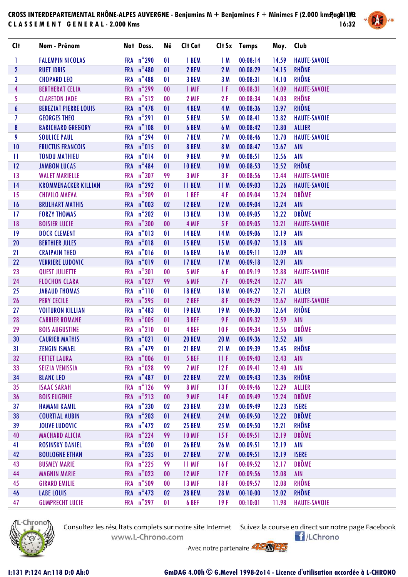## CROSS INTERDEPARTEMENTAL RHÔNE-ALPES AUVERGNE - Benjamins M + Benjamines F + Minimes F (2.000 km**s)**ag@11//& **C L A S S E M E N T G E N E R A L - 2.000 Kms 16:32**



| Clt              | Nom - Prénom                 | Nat Doss.           | Né           | Clt Cat             |                 | Clt Sx Temps              | Moy.  | Club                |
|------------------|------------------------------|---------------------|--------------|---------------------|-----------------|---------------------------|-------|---------------------|
| 1                | <b>FALEMPIN NICOLAS</b>      | FRA n°290           | $\mathbf{0}$ | 1 BEM               | 1M              | 00:08:14                  | 14.59 | <b>HAUTE-SAVOIE</b> |
| $\mathbf{2}$     | <b>RUET IDRIS</b>            | FRA n°480           | 01           | 2 BEM               | 2M              | 00:08:29                  | 14.15 | <b>RHÔNE</b>        |
| $\mathbf{3}$     | <b>CHOPARD LEO</b>           | FRA n°488           | $\mathbf{0}$ | 3 BEM               | 3M              | 00:08:31                  | 14.10 | RHÔNE               |
| $\overline{4}$   | <b>BERTHERAT CELIA</b>       | FRA n°299           | $00\,$       | 1 MIF               | 1F              | 00:08:31                  | 14.09 | <b>HAUTE-SAVOIE</b> |
| 5                | <b>CLARETON JADE</b>         | FRA n°512           | $\bf{00}$    | 2 MIF               | 2F              | 00:08:34                  | 14.03 | <b>RHÔNE</b>        |
| $\boldsymbol{6}$ | <b>BEREZIAT PIERRE LOUIS</b> | FRA $n^{\circ}$ 478 | 01           | 4 BEM               | 4 M             | 00:08:36                  | 13.97 | <b>RHÔNE</b>        |
| $\overline{I}$   | <b>GEORGES THEO</b>          | FRA n°291           | 01           | 5 BEM               | 5 M             | 00:08:41                  | 13.82 | <b>HAUTE-SAVOIE</b> |
| 8                | <b>BARICHARD GREGORY</b>     | FRA n°108           | 01           | 6 BEM               | 6 M             | 00:08:42                  | 13.80 | <b>ALLIER</b>       |
| 9                | <b>SOULICE PAUL</b>          | FRA n°294           | $\mathbf{0}$ | 7 BEM               | 7 M             | 00:08:46                  | 13.70 | <b>HAUTE-SAVOIE</b> |
| 10               | <b>FRUCTUS FRANCOIS</b>      | FRA n°015           | 01           | 8 BEM               | 8 M             | 00:08:47                  | 13.67 | <b>AIN</b>          |
| $\mathbf{H}$     | <b>TONDU MATHIEU</b>         | FRA n°014           | $\mathbf{0}$ | 9 BEM               | 9 M             | 00:08:51                  | 13.56 | <b>AIN</b>          |
| 12               | <b>JAMBON LUCAS</b>          | FRA n°484           | 01           | <b>10 BEM</b>       | <b>10M</b>      | 00:08:53                  | 13.52 | <b>RHÔNE</b>        |
| 13               | <b>WALET MARIELLE</b>        | FRA n°307           | 99           | 3 MIF               | 3F              | 00:08:56                  | 13.44 | <b>HAUTE-SAVOIE</b> |
| 14               | <b>KROMMENACKER KILLIAN</b>  | FRA $n^{\circ}$ 292 | 01           | 11 BEM              | 11M             | 00:09:03                  | 13.26 | <b>HAUTE-SAVOIE</b> |
| 15               | <b>CHIVILO MAEVA</b>         | FRA n°209           | $\mathbf{0}$ | 1 BEF               | 4F              | 00:09:04                  | 13.24 | <b>DRÔME</b>        |
| 16               | <b>BRULHART MATHIS</b>       | FRA n°003           | 02           | <b>12 BEM</b>       | 12M             | 00:09:04                  | 13.24 | <b>AIN</b>          |
| 17               | <b>FORZY THOMAS</b>          | FRA n°202           | 01           | <b>13 BEM</b>       | 13 M            | 00:09:05                  | 13.22 | <b>DRÔME</b>        |
| 18               | <b>BOISIER LUCIE</b>         | FRA n°300           | $00\,$       | 4 MIF               | 5 F             | 00:09:05                  | 13.21 | <b>HAUTE-SAVOIE</b> |
| 19               | <b>DOCK CLEMENT</b>          | FRA n°013           | 01           | <b>14 BEM</b>       | 14 M            | 00:09:06                  | 13.19 | <b>AIN</b>          |
| 20               | <b>BERTHIER JULES</b>        | FRA n°018           | $\mathbf{0}$ | <b>15 BEM</b>       | 15M             | 00:09:07                  | 13.18 | <b>AIN</b>          |
| 21               | <b>CRAIPAIN THEO</b>         | FRA n°016           | 01           | <b>16 BEM</b>       | 16 M            | 00:09:11                  | 13.09 | <b>AIN</b>          |
| 22               | <b>VERRIERE LUDOVIC</b>      | FRA n°019           | $\mathbf{0}$ | <b>17 BEM</b>       | 17M             | 00:09:18                  | 12.91 | <b>AIN</b>          |
| 23               | <b>QUEST JULIETTE</b>        | FRA n°301           | $\bf{00}$    | 5 MIF               | 6 F             | 00:09:19                  | 12.88 | <b>HAUTE-SAVOIE</b> |
| 24               | <b>FLOCHON CLARA</b>         | FRA n°027           | 99           | 6 MIF               | 7 F             | 00:09:24                  | 12.77 | <b>AIN</b>          |
| 25               | <b>JABAUD THOMAS</b>         | FRA n°110           | $\mathbf{0}$ | <b>18 BEM</b>       | 18 M            | 00:09:27                  | 12.71 | <b>ALLIER</b>       |
| 26               | <b>PERY CECILE</b>           | FRA n°295           | $\mathbf{0}$ | 2 BEF               | 8F              | 00:09:29                  | 12.67 | <b>HAUTE-SAVOIE</b> |
| 27               | <b>VOITURON KILLIAN</b>      | FRA $n^{\circ}$ 483 | $\mathbf{0}$ | <b>19 BEM</b>       | 19 <sub>M</sub> | 00:09:30                  | 12.64 | <b>RHÔNE</b>        |
| 28               | <b>CARRIER ROMANE</b>        | FRA n°005           | 01           | 3 BEF               | 9 F             | 00:09:32                  | 12.59 | <b>AIN</b>          |
| 29               | <b>BOIS AUGUSTINE</b>        | FRA n°210           | $\mathbf{0}$ | 4 BEF               | 10F             | 00:09:34                  | 12.56 | <b>DRÔME</b>        |
| 30               | <b>CAURIER MATHIS</b>        | FRA n°021           | 01           | <b>20 BEM</b>       | <b>20 M</b>     | 00:09:36                  | 12.52 | <b>AIN</b>          |
| 31               | <b>ZENGIN ISMAEL</b>         |                     |              | FRA n°479 01 21 BEM |                 | 21 M 00:09:39 12.45 RHÔNE |       |                     |
| 32               | <b>FETTET LAURA</b>          | FRA n°006           | 01           | 5 BEF               | 11F             | 00:09:40                  | 12.43 | <b>AIN</b>          |
| 33               | <b>SEIZIA VENISSIA</b>       | FRA n°028           | 99           | 7 MIF               | 12F             | 00:09:41                  | 12.40 | <b>AIN</b>          |
| 34               | <b>BLANC LEO</b>             | FRA $n^{\circ}$ 487 | 01           | <b>22 BEM</b>       | 22 M            | 00:09:43                  | 12.36 | RHÔNE               |
| 35 <sub>5</sub>  | <b>ISAAC SARAH</b>           | FRA $n^{\circ}$ 126 | 99           | 8 MIF               | 13F             | 00:09:46                  | 12.29 | <b>ALLIER</b>       |
| 36               | <b>BOIS EUGENIE</b>          | FRA $n^{\circ}213$  | 00           | 9 MIF               | 14F             | 00:09:49                  | 12.24 | <b>DRÔME</b>        |
| 37               | <b>HAMANI KAMIL</b>          | FRA n°330           | 02           | <b>23 BEM</b>       | 23 M            | 00:09:49                  | 12.23 | <b>ISERE</b>        |
| 38               | <b>COURTIAL AUBIN</b>        | FRA $n^{\circ}$ 203 | 01           | <b>24 BEM</b>       | 24 M            | 00:09:50                  | 12.22 | <b>DRÔME</b>        |
| 39               | <b>JOUVE LUDOVIC</b>         | FRA $n^{\circ}472$  | 02           | <b>25 BEM</b>       | 25 M            | 00:09:50                  | 12.21 | <b>RHÔNE</b>        |
| 40               | <b>MACHARD ALICIA</b>        | FRA n°224           | 99           | <b>10 MIF</b>       | 15F             | 00:09:51                  | 12.19 | <b>DRÔME</b>        |
| 41               | <b>ROSINSKY DANIEL</b>       | FRA n°020           | $\mathbf{0}$ | <b>26 BEM</b>       | 26 M            | 00:09:51                  | 12.19 | <b>AIN</b>          |
| 42               | <b>BOULOGNE ETHAN</b>        | FRA n°335           | 01           | <b>27 BEM</b>       | 27 <sub>M</sub> | 00:09:51                  | 12.19 | <b>ISERE</b>        |
| 43               | <b>BUSMEY MARIE</b>          | FRA $n^{\circ}$ 225 | 99           | 11 MIF              | 16F             | 00:09:52                  | 12.17 | <b>DRÔME</b>        |
| 44               | <b>MAGNIN MARIE</b>          | FRA $n^{\circ}$ 023 | $00\,$       | <b>12 MIF</b>       | 17F             | 00:09:56                  | 12.08 | <b>AIN</b>          |
| 45               | <b>GIRARD EMILIE</b>         | FRA n°509           | $\bf{00}$    | <b>13 MIF</b>       | 18F             | 00:09:57                  | 12.08 | RHÔNE               |
| 46               | <b>LABE LOUIS</b>            | FRA $n^{\circ}$ 473 | 02           | <b>28 BEM</b>       | 28 M            | 00:10:00                  | 12.02 | RHÔNE               |
| 47               | <b>GUMPRECHT LUCIE</b>       | FRA $n^{\circ}$ 297 | $\mathbf{0}$ | 6 BEF               | 19F             | 00:10:01                  | 11.98 | <b>HAUTE-SAVOIE</b> |



Consultez les résultats complets sur notre site Internet Suivez la course en direct sur notre page Facebook www.L-Chrono.com

 $\bigcap$ /LChrono

Avec notre partenaire **AMMED**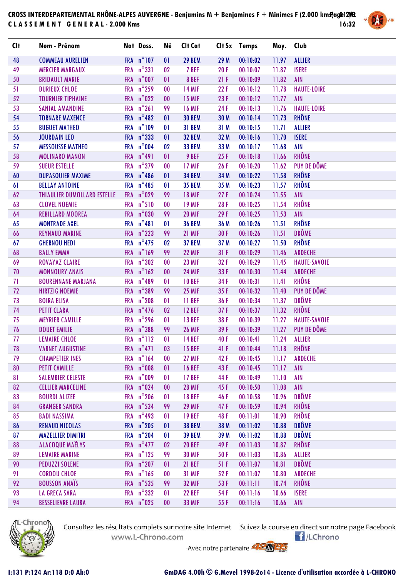## CROSS INTERDEPARTEMENTAL RHÔNE-ALPES AUVERGNE - Benjamins M + Benjamines F + Minimes F (2.000 km**s)**ag@12/2 **C L A S S E M E N T G E N E R A L - 2.000 Kms 16:32**



| <b>Clt</b> | Nom - Prénom                       | Nat Doss.           | Né           | Clt Cat       |      | Clt Sx Temps              | Moy. Club |                     |
|------------|------------------------------------|---------------------|--------------|---------------|------|---------------------------|-----------|---------------------|
| 48         | <b>COMMEAU AURELIEN</b>            | FRA n°107           | 01           | <b>29 BEM</b> | 29 M | 00:10:02                  | 11.97     | <b>ALLIER</b>       |
| 49         | <b>MERCIER MARGAUX</b>             | FRA n°331           | 02           | 7 BEF         | 20F  | 00:10:07                  | 11.87     | <b>ISERE</b>        |
| 50         | <b>BRIDAULT MARIE</b>              | FRA n°007           | 01           | 8 BEF         | 21F  | 00:10:09                  | 11.82     | AIN                 |
| 51         | <b>DURIEUX CHLOE</b>               | FRA n°259           | $\bf{00}$    | <b>14 MIF</b> | 22F  | 00:10:12                  | 11.78     | <b>HAUTE-LOIRE</b>  |
| 52         | <b>TOURNIER TIPHAINE</b>           | FRA n°022           | $00\,$       | <b>15 MIF</b> | 23F  | 00:10:12                  | 11.77     | <b>AIN</b>          |
| 53         | <b>SANIAL AMANDINE</b>             | FRA n°261           | 99           | <b>16 MIF</b> | 24F  | 00:10:13                  | 11.76     | <b>HAUTE-LOIRE</b>  |
| 54         | <b>TORNARE MAXENCE</b>             | FRA $n^{\circ}482$  | 01           | <b>30 BEM</b> | 30 M | 00:10:14                  | 11.73     | <b>RHÔNE</b>        |
| 55         | <b>BUGUET MATHEO</b>               | FRA n°109           | $\mathbf{0}$ | 31 BEM        | 31 M | 00:10:15                  | 11.71     | <b>ALLIER</b>       |
| 56         | <b>JOURDAIN LEO</b>                | FRA n°333           | 01           | <b>32 BEM</b> | 32 M | 00:10:16                  | 11.70     | <b>ISERE</b>        |
| 57         | <b>MESSOUSSE MATHEO</b>            | FRA n°004           | 02           | <b>33 BEM</b> | 33 M | 00:10:17                  | 11.68     | <b>AIN</b>          |
| 58         | <b>MOLINARO MANON</b>              | FRA n°491           | 01           | 9 BEF         | 25F  | 00:10:18                  | 11.66     | RHÔNE               |
| 59         | <b>SUEUR ESTELLE</b>               | FRA n°379           | $\bf{00}$    | 17 MIF        | 26F  | 00:10:20                  | 11.62     | PUY DE DÔME         |
| 60         | <b>DUPASQUIER MAXIME</b>           | FRA n°486           | 01           | <b>34 BEM</b> | 34 M | 00:10:22                  | 11.58     | RHÔNE               |
| 61         | <b>BELLAY ANTOINE</b>              | FRA $n^{\circ}$ 485 | $\mathbf{0}$ | <b>35 BEM</b> | 35 M | 00:10:23                  | 11.57     | RHÔNE               |
| 62         | <b>THIAULIER DUMOLLARD ESTELLE</b> | FRA n°029           | 99           | <b>18 MIF</b> | 27F  | 00:10:24                  | 11.55     | AIN                 |
| 63         | <b>CLOVEL NOEMIE</b>               | FRA n°510           | $\bf{00}$    | <b>19 MIF</b> | 28F  | 00:10:25                  | 11.54     | RHÔNE               |
| 64         | <b>REBILLARD MOOREA</b>            | FRA n°030           | 99           | <b>20 MIF</b> | 29F  | 00:10:25                  | 11.53     | <b>AIN</b>          |
| 65         | <b>MONTRADE AXEL</b>               | FRA n°481           | $\mathbf{0}$ | <b>36 BEM</b> | 36 M | 00:10:26                  | 11.51     | RHÔNE               |
| 66         | <b>REYNAUD MARINE</b>              | FRA n°223           | 99           | 21 MIF        | 30F  | 00:10:26                  | 11.51     | <b>DRÔME</b>        |
| 67         | <b>GHERNOU HEDI</b>                | FRA $n^{\circ}$ 475 | 02           | <b>37 BEM</b> | 37 M | 00:10:27                  | 11.50     | RHÔNE               |
| 68         | <b>BALLY EMMA</b>                  | FRA n°169           | 99           | <b>22 MIF</b> | 31F  | 00:10:29                  | 11.46     | ARDECHE             |
| 69         | <b>ROVAYAZ CLAIRE</b>              | FRA n°302           | $\bf{00}$    | <b>23 MIF</b> | 32F  | 00:10:29                  | 11.45     | <b>HAUTE-SAVOIE</b> |
| 70         | <b>MONNOURY ANAIS</b>              | FRA n°162           | $00\,$       | <b>24 MIF</b> | 33F  | 00:10:30                  | 11.44     | ARDECHE             |
| 71         | <b>BOURENNANE MARJANA</b>          | FRA n°489           | 01           | <b>10 BEF</b> | 34F  | 00:10:31                  | 11.41     | RHÔNE               |
| 72         | <b>HIRTZIG NOEMIE</b>              | FRA n°389           | 99           | <b>25 MIF</b> | 35F  | 00:10:32                  | 11.40     | PUY DE DÔME         |
| 73         | <b>BOIRA ELISA</b>                 | FRA n°208           | $\mathbf{0}$ | 11 BEF        | 36F  | 00:10:34                  | 11.37     | <b>DRÔME</b>        |
| 74         | <b>PETIT CLARA</b>                 | FRA $n^{\circ}$ 476 | 02           | <b>12 BEF</b> | 37F  | 00:10:37                  | 11.32     | RHÔNE               |
| 75         | <b>MEYRIER CAMILLE</b>             | FRA n°296           | 01           | <b>13 BEF</b> | 38F  | 00:10:39                  | 11.27     | <b>HAUTE-SAVOIE</b> |
| 76         | <b>DOUET EMILIE</b>                | FRA n°388           | 99           | <b>26 MIF</b> | 39F  | 00:10:39                  | 11.27     | <b>PUY DE DÔME</b>  |
| 77         | <b>LEMAIRE CHLOE</b>               | FRA n°112           | 01           | <b>14 BEF</b> | 40 F | 00:10:41                  | 11.24     | <b>ALLIER</b>       |
| 78         | <b>VARNET AUGUSTINE</b>            | FRA $n^{\circ}471$  | 03           | <b>15 BEF</b> |      | 41 F 00:10:44 11.18 RHÔNE |           |                     |
| 79         | <b>CHAMPETIER INES</b>             | FRA n°164           | $\bf{00}$    | <b>27 MIF</b> | 42F  | 00:10:45                  | 11.17     | <b>ARDECHE</b>      |
| 80         | <b>PETIT CAMILLE</b>               | FRA n°008           | 01           | <b>16 BEF</b> | 43F  | 00:10:45                  | 11.17     | <b>AIN</b>          |
| 81         | <b>SALEMBIER CELESTE</b>           | FRA n°009           | 01           | <b>17 BEF</b> | 44 F | 00:10:49                  | 11.10     | <b>AIN</b>          |
| 82         | <b>CELLIER MARCELINE</b>           | FRA n°024           | 00           | <b>28 MIF</b> | 45 F | 00:10:50                  | 11.08     | <b>AIN</b>          |
| 83         | <b>BOURDI ALIZEE</b>               | FRA n°206           | $\mathbf{0}$ | <b>18 BEF</b> | 46F  | 00:10:58                  | 10.96     | <b>DRÔME</b>        |
| 84         | <b>GRANGER SANDRA</b>              | FRA n°534           | 99           | <b>29 MIF</b> | 47 F | 00:10:59                  | 10.94     | <b>RHÔNE</b>        |
| 85         | <b>BADI NASSIMA</b>                | FRA $n^{\circ}$ 493 | 01           | <b>19 BEF</b> | 48 F | 00:11:01                  | 10.90     | <b>RHÔNE</b>        |
| 86         | <b>RENAUD NICOLAS</b>              | FRA n°205           | 01           | <b>38 BEM</b> | 38 M | 00:11:02                  | 10.88     | <b>DRÔME</b>        |
| 87         | <b>MAZELLIER DIMITRI</b>           | FRA n°204           | $\mathbf{0}$ | <b>39 BEM</b> | 39 M | 00:11:02                  | 10.88     | <b>DRÔME</b>        |
| 88         | <b>ALACOQUE MAËLYS</b>             | FRA $n^{\circ}477$  | 02           | <b>20 BEF</b> | 49 F | 00:11:03                  | 10.87     | <b>RHÔNE</b>        |
| 89         | <b>LEMAIRE MARINE</b>              | FRA n°125           | 99           | <b>30 MIF</b> | 50F  | 00:11:03                  | 10.86     | <b>ALLIER</b>       |
| 90         | <b>PEDUZZI SOLENE</b>              | FRA n°207           | 01           | <b>21 BEF</b> | 51F  | 00:11:07                  | 10.81     | <b>DRÔME</b>        |
| 91         | <b>CORDOU CHLOE</b>                | FRA n°165           | $\bf{00}$    | <b>31 MIF</b> | 52F  | 00:11:07                  | 10.80     | <b>ARDECHE</b>      |
| 92         | <b>BOUSSON ANAÏS</b>               | FRA n°535           | 99           | <b>32 MIF</b> | 53F  | 00:11:11                  | 10.74     | RHÔNE               |
| 93         | <b>LA GRECA SARA</b>               | FRA $n^{\circ}332$  | 01           | <b>22 BEF</b> | 54 F | 00:11:16                  | 10.66     | <b>ISERE</b>        |
| 94         | <b>BESSELIEVRE LAURA</b>           | FRA n°025           | $00\,$       | <b>33 MIF</b> | 55F  | 00:11:16                  | 10.66     | AIN                 |



Consultez les résultats complets sur notre site Internet Suivez la course en direct sur notre page Facebook www.L-Chrono.com

 $\bigcap$ /LChrono

Avec notre partenaire **AMMED**